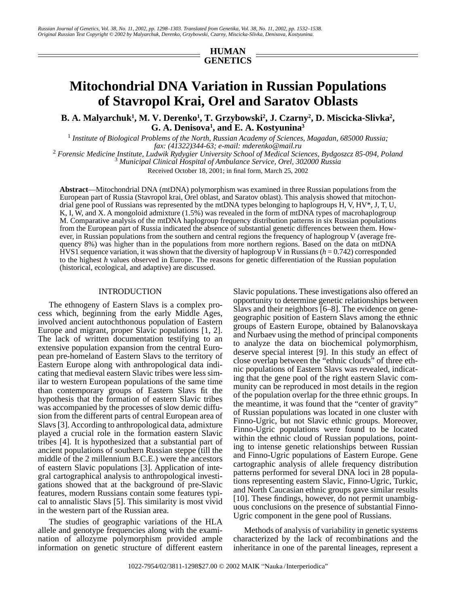## **HUMAN GENETICS**

# **Mitochondrial DNA Variation in Russian Populations of Stavropol Krai, Orel and Saratov Oblasts**

**B. A. Malyarchuk<sup>1</sup>, M. V. Derenko<sup>1</sup>, T. Grzybowski<sup>2</sup>, J. Czarny<sup>2</sup>, D. Miscicka-Slivka<sup>2</sup>, G. A. Denisova1 , and E. A. Kostyunina3**

1  *Institute of Biological Problems of the North, Russian Academy of Sciences, Magadan, 685000 Russia; fax: (41322)344-63; e-mail: mderenko@mail.ru*<br><sup>2</sup> Forensic Medicine Institute Ludwik Rydygier University School of Medical Sci

 *Forensic Medicine Institute, Ludwik Rydygier University School of Medical Sciences, Bydgoszcz 85-094, Poland* <sup>3</sup>  *Municipal Clinical Hospital of Ambulance Service, Orel, 302000 Russia*

Received October 18, 2001; in final form, March 25, 2002

**Abstract**—Mitochondrial DNA (mtDNA) polymorphism was examined in three Russian populations from the European part of Russia (Stavropol krai, Orel oblast, and Saratov oblast). This analysis showed that mitochondrial gene pool of Russians was represented by the mtDNA types belonging to haplogroups H, V, HV\*, J, T, U, K, I, W, and X. A mongoloid admixture (1.5%) was revealed in the form of mtDNA types of macrohaplogroup M. Comparative analysis of the mtDNA haplogroup frequency distribution patterns in six Russian populations from the European part of Russia indicated the absence of substantial genetic differences between them. However, in Russian populations from the southern and central regions the frequency of haplogroup V (average frequency 8%) was higher than in the populations from more northern regions. Based on the data on mtDNA HVS1 sequence variation, it was shown that the diversity of haplogroup V in Russians (*h* = 0.742) corresponded to the highest *h* values observed in Europe. The reasons for genetic differentiation of the Russian population (historical, ecological, and adaptive) are discussed.

### INTRODUCTION

The ethnogeny of Eastern Slavs is a complex process which, beginning from the early Middle Ages, involved ancient autochthonous population of Eastern Europe and migrant, proper Slavic populations [1, 2]. The lack of written documentation testifying to an extensive population expansion from the central European pre-homeland of Eastern Slavs to the territory of Eastern Europe along with anthropological data indicating that medieval eastern Slavic tribes were less similar to western European populations of the same time than contemporary groups of Eastern Slavs fit the hypothesis that the formation of eastern Slavic tribes was accompanied by the processes of slow demic diffusion from the different parts of central European area of Slavs [3]. According to anthropological data, admixture played a crucial role in the formation eastern Slavic tribes [4]. It is hypothesized that a substantial part of ancient populations of southern Russian steppe (till the middle of the 2 millennium B.C.E.) were the ancestors of eastern Slavic populations [3]. Application of integral cartographical analysis to anthropological investigations showed that at the background of pre-Slavic features, modern Russians contain some features typical to annalistic Slavs [5]. This similarity is most vivid in the western part of the Russian area.

The studies of geographic variations of the HLA allele and genotype frequencies along with the examination of allozyme polymorphism provided ample information on genetic structure of different eastern Slavic populations. These investigations also offered an opportunity to determine genetic relationships between Slavs and their neighbors [6–8]. The evidence on genegeographic position of Eastern Slavs among the ethnic groups of Eastern Europe, obtained by Balanovskaya and Nurbaev using the method of principal components to analyze the data on biochemical polymorphism, deserve special interest [9]. In this study an effect of close overlap between the "ethnic clouds" of three ethnic populations of Eastern Slavs was revealed, indicating that the gene pool of the right eastern Slavic community can be reproduced in most details in the region of the population overlap for the three ethnic groups. In the meantime, it was found that the "center of gravity" of Russian populations was located in one cluster with Finno-Ugric, but not Slavic ethnic groups. Moreover, Finno-Ugric populations were found to be located within the ethnic cloud of Russian populations, pointing to intense genetic relationships between Russian and Finno-Ugric populations of Eastern Europe. Gene cartographic analysis of allele frequency distribution patterns performed for several DNA loci in 28 populations representing eastern Slavic, Finno-Ugric, Turkic, and North Caucasian ethnic groups gave similar results [10]. These findings, however, do not permit unambiguous conclusions on the presence of substantial Finno-Ugric component in the gene pool of Russians.

Methods of analysis of variability in genetic systems characterized by the lack of recombinations and the inheritance in one of the parental lineages, represent a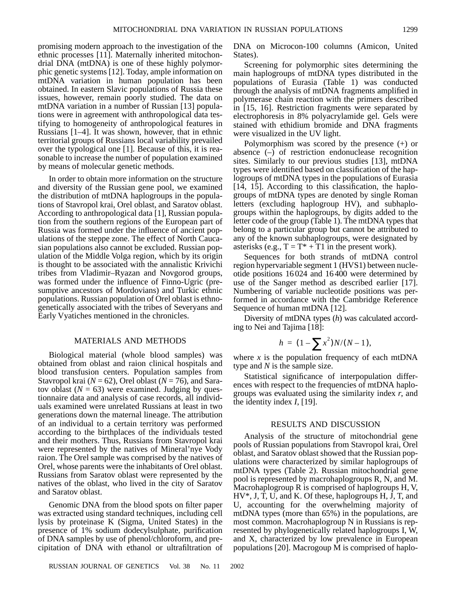promising modern approach to the investigation of the ethnic processes [11]. Maternally inherited mitochondrial DNA (mtDNA) is one of these highly polymorphic genetic systems [12]. Today, ample information on mtDNA variation in human population has been obtained. In eastern Slavic populations of Russia these issues, however, remain poorly studied. The data on mtDNA variation in a number of Russian [13] populations were in agreement with anthropological data testifying to homogeneity of anthropological features in Russians [1–4]. It was shown, however, that in ethnic territorial groups of Russians local variability prevailed over the typological one [1]. Because of this, it is rea-

In order to obtain more information on the structure and diversity of the Russian gene pool, we examined the distribution of mtDNA haplogroups in the populations of Stavropol krai, Orel oblast, and Saratov oblast. According to anthropological data [1], Russian population from the southern regions of the European part of Russia was formed under the influence of ancient populations of the steppe zone. The effect of North Caucasian populations also cannot be excluded. Russian population of the Middle Volga region, which by its origin is thought to be associated with the annalistic Krivichi tribes from Vladimir–Ryazan and Novgorod groups, was formed under the influence of Finno-Ugric (presumptive ancestors of Mordovians) and Turkic ethnic populations. Russian population of Orel oblast is ethnogenetically associated with the tribes of Severyans and Early Vyatiches mentioned in the chronicles.

sonable to increase the number of population examined

by means of molecular genetic methods.

### MATERIALS AND METHODS

Biological material (whole blood samples) was obtained from oblast and raion clinical hospitals and blood transfusion centers. Population samples from Stavropol krai (*N* = 62), Orel oblast (*N* = 76), and Saratov oblast  $(N = 63)$  were examined. Judging by questionnaire data and analysis of case records, all individuals examined were unrelated Russians at least in two generations down the maternal lineage. The attribution of an individual to a certain territory was performed according to the birthplaces of the individuals tested and their mothers. Thus, Russians from Stavropol krai were represented by the natives of Mineral'nye Vody raion. The Orel sample was comprised by the natives of Orel, whose parents were the inhabitants of Orel oblast. Russians from Saratov oblast were represented by the natives of the oblast, who lived in the city of Saratov and Saratov oblast.

Genomic DNA from the blood spots on filter paper was extracted using standard techniques, including cell lysis by proteinase K (Sigma, United States) in the presence of 1% sodium dodecylsulphate, purification of DNA samples by use of phenol/chloroform, and precipitation of DNA with ethanol or ultrafiltration of

RUSSIAN JOURNAL OF GENETICS Vol. 38 No. 11 2002

DNA on Microcon-100 columns (Amicon, United States).

Screening for polymorphic sites determining the main haplogroups of mtDNA types distributed in the populations of Eurasia (Table 1) was conducted through the analysis of mtDNA fragments amplified in polymerase chain reaction with the primers described in [15, 16]. Restriction fragments were separated by electrophoresis in 8% polyacrylamide gel. Gels were stained with ethidium bromide and DNA fragments were visualized in the UV light.

Polymorphism was scored by the presence (+) or absence (–) of restriction endonuclease recognition sites. Similarly to our previous studies [13], mtDNA types were identified based on classification of the haplogroups of mtDNA types in the populations of Eurasia [14, 15]. According to this classification, the haplogroups of mtDNA types are denoted by single Roman letters (excluding haplogroup HV), and subhaplogroups within the haplogroups, by digits added to the letter code of the group (Table 1). The mtDNA types that belong to a particular group but cannot be attributed to any of the known subhaplogroups, were designated by asterisks (e.g.,  $T = T^* + T1$  in the present work).

Sequences for both strands of mtDNA control region hypervariable segment 1 (HVS1) between nucleotide positions 16 024 and 16 400 were determined by use of the Sanger method as described earlier [17]. Numbering of variable nucleotide positions was performed in accordance with the Cambridge Reference Sequence of human mtDNA [12].

Diversity of mtDNA types (*h*) was calculated according to Nei and Tajima [18]:

$$
h = (1 - \sum x^2)N/(N-1),
$$

where  $x$  is the population frequency of each mtDNA type and *N* is the sample size.

Statistical significance of interpopulation differences with respect to the frequencies of mtDNA haplogroups was evaluated using the similarity index *r*, and the identity index *I*, [19].

#### RESULTS AND DISCUSSION

Analysis of the structure of mitochondrial gene pools of Russian populations from Stavropol krai, Orel oblast, and Saratov oblast showed that the Russian populations were characterized by similar haplogroups of mtDNA types (Table 2). Russian mitochondrial gene pool is represented by macrohaplogroups R, N, and M. Macrohaplogroup R is comprised of haplogroups H, V, HV\*, J, T, U, and K. Of these, haplogroups H, J, T, and U, accounting for the overwhelming majority of mtDNA types (more than 65%) in the populations, are most common. Macrohaplogroup N in Russians is represented by phylogenetically related haplogroups I, W, and X, characterized by low prevalence in European populations [20]. Macrogoup M is comprised of haplo-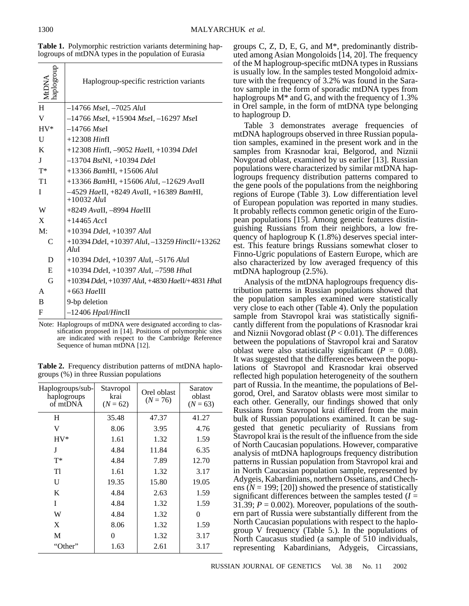| dnoraop<br>MtDNA | Haplogroup-specific restriction variants                        |
|------------------|-----------------------------------------------------------------|
| H                | $-14766$ MseI, $-7025$ AluI                                     |
| V                | $-14766$ MseI, $+15904$ MseI, $-16297$ MseI                     |
| $HV^*$           | $-14766$ MseI                                                   |
| U                | $+12308$ <i>Hinfl</i>                                           |
| K                | +12308 HinfI, -9052 HaeII, +10394 DdeI                          |
| T                | $-13704$ BstNI, $+10394$ DdeI                                   |
| $T^*$            | $+13366$ BamHI, $+15606$ AluI                                   |
| T1               | $+13366$ BamHI, $+15606$ AluI, $-12629$ AvaII                   |
| I                | -4529 HaeII, +8249 AvaII, +16389 BamHI,<br>$+10032$ AluI        |
| W                | +8249 AvaII, -8994 HaeIII                                       |
| X                | $+14465$ AccI                                                   |
| M:               | $+10394$ Ddel, $+10397$ AluI                                    |
| C                | $+10394$ DdeI, $+10397$ AluI, $-13259$ HincII/ $+13262$<br>AluI |
| D                | $+10394$ Ddel, $+10397$ Alul, $-5176$ Alul                      |
| E                | $+10394$ Ddel, $+10397$ Alul, $-7598$ Hhal                      |
| G                | +10394 DdeI, +10397 AluI, +4830 HaeII/+4831 HhaI                |
| A                | $+663$ HaeIII                                                   |
| B                | 9-bp deletion                                                   |
| F                | -12406 Hpal/HincII                                              |

**Table 1.** Polymorphic restriction variants determining haplogroups of mtDNA types in the population of Eurasia

Note: Haplogroups of mtDNA were designated according to classification proposed in [14]. Positions of polymorphic sites are indicated with respect to the Cambridge Reference Sequence of human mtDNA [12].

**Table 2.** Frequency distribution patterns of mtDNA haplogroups (%) in three Russian populations

| Haplogroups/sub-<br>haplogroups<br>of mtDNA | Stavropol<br>krai<br>$(N = 62)$ | Orel oblast<br>$(N = 76)$ | Saratov<br>oblast<br>$(N = 63)$ |
|---------------------------------------------|---------------------------------|---------------------------|---------------------------------|
| H                                           | 35.48                           | 47.37                     | 41.27                           |
| V                                           | 8.06                            | 3.95                      | 4.76                            |
| $HV^*$                                      | 1.61                            | 1.32                      | 1.59                            |
| J                                           | 4.84                            | 11.84                     | 6.35                            |
| $T^*$                                       | 4.84                            | 7.89                      | 12.70                           |
| Tl                                          | 1.61                            | 1.32                      | 3.17                            |
| U                                           | 19.35                           | 15.80                     | 19.05                           |
| K                                           | 4.84                            | 2.63                      | 1.59                            |
| T                                           | 4.84                            | 1.32                      | 1.59                            |
| W                                           | 4.84                            | 1.32                      | 0                               |
| X                                           | 8.06                            | 1.32                      | 1.59                            |
| M                                           | 0                               | 1.32                      | 3.17                            |
| "Other"                                     | 1.63                            | 2.61                      | 3.17                            |

groups C, Z, D, E, G, and M\*, predominantly distributed among Asian Mongoloids [14, 20]. The frequency of the M haplogroup-specific mtDNA types in Russians is usually low. In the samples tested Mongoloid admixture with the frequency of 3.2% was found in the Saratov sample in the form of sporadic mtDNA types from haplogroups  $M^*$  and G, and with the frequency of 1.3% in Orel sample, in the form of mtDNA type belonging to haplogroup D.

Table 3 demonstrates average frequencies of mtDNA haplogroups observed in three Russian population samples, examined in the present work and in the samples from Krasnodar krai, Belgorod, and Niznii Novgorad oblast, examined by us earlier [13]. Russian populations were characterized by similar mtDNA haplogroups frequency distribution patterns compared to the gene pools of the populations from the neighboring regions of Europe (Table 3). Low differentiation level of European population was reported in many studies. It probably reflects common genetic origin of the European populations [15]. Among genetic features distinguishing Russians from their neighbors, a low frequency of haplogroup K (1.8%) deserves special interest. This feature brings Russians somewhat closer to Finno-Ugric populations of Eastern Europe, which are also characterized by low averaged frequency of this mtDNA haplogroup (2.5%).

Analysis of the mtDNA haplogroups frequency distribution patterns in Russian populations showed that the population samples examined were statistically very close to each other (Table 4). Only the population sample from Stavropol krai was statistically significantly different from the populations of Krasnodar krai and Niznii Novgorad oblast (*P* < 0.01). The differences between the populations of Stavropol krai and Saratov oblast were also statistically significant ( $P = 0.08$ ). It was suggested that the differences between the populations of Stavropol and Krasnodar krai observed reflected high population heterogeneity of the southern part of Russia. In the meantime, the populations of Belgorod, Orel, and Saratov oblasts were most similar to each other. Generally, our findings showed that only Russians from Stavropol krai differed from the main bulk of Russian populations examined. It can be suggested that genetic peculiarity of Russians from Stavropol krai is the result of the influence from the side of North Caucasian populations. However, comparative analysis of mtDNA haplogroups frequency distribution patterns in Russian population from Stavropol krai and in North Caucasian population sample, represented by Adygeis, Kabardinians, northern Ossetians, and Chechens  $(N = 199; [20])$  showed the presence of statistically significant differences between the samples tested  $(I =$ 31.39;  $P = 0.002$ ). Moreover, populations of the southern part of Russia were substantially different from the North Caucasian populations with respect to the haplogroup V frequency (Table 5.). In the populations of North Caucasus studied (a sample of 510 individuals, representing Kabardinians, Adygeis, Circassians,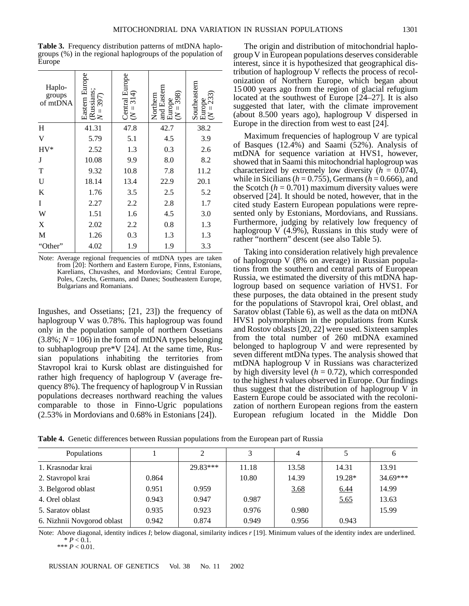**Table 3.** Frequency distribution patterns of mtDNA haplogroups (%) in the regional haplogroups of the population of Europe

| Haplo-<br>groups<br>of mtDNA | Eastern Europe<br>(Russians;<br>$N = 397$ ) | Central Europe<br>( $N = 314$ ) | and Eastern<br>Europe<br>( $N = 398$ )<br>Northern | Southeastern<br>Europe<br>( $N = 233$ ) |
|------------------------------|---------------------------------------------|---------------------------------|----------------------------------------------------|-----------------------------------------|
| H                            | 41.31                                       | 47.8                            | 42.7                                               | 38.2                                    |
| V                            | 5.79                                        | 5.1                             | 4.5                                                | 3.9                                     |
| $HV^*$                       | 2.52                                        | 1.3                             | 0.3                                                | 2.6                                     |
| J                            | 10.08                                       | 9.9                             | 8.0                                                | 8.2                                     |
| T                            | 9.32                                        | 10.8                            | 7.8                                                | 11.2                                    |
| $\mathbf U$                  | 18.14                                       | 13.4                            | 22.9                                               | 20.1                                    |
| K                            | 1.76                                        | 3.5                             | 2.5                                                | 5.2                                     |
| I                            | 2.27                                        | 2.2                             | 2.8                                                | 1.7                                     |
| W                            | 1.51                                        | 1.6                             | 4.5                                                | 3.0                                     |
| X                            | 2.02                                        | 2.2                             | 0.8                                                | 1.3                                     |
| M                            | 1.26                                        | 0.3                             | 1.3                                                | 1.3                                     |
| "Other"                      | 4.02                                        | 1.9                             | 1.9                                                | 3.3                                     |
|                              |                                             |                                 |                                                    |                                         |

Note: Average regional frequencies of mtDNA types are taken from [20]: Northern and Eastern Europe, Finns, Estonians, Karelians, Chuvashes, and Mordovians; Central Europe, Poles, Czechs, Germans, and Danes; Southeastern Europe, Bulgarians and Romanians.

Ingushes, and Ossetians; [21, 23]) the frequency of haplogroup V was 0.78%. This haplogroup was found only in the population sample of northern Ossetians  $(3.8\%; N = 106)$  in the form of mtDNA types belonging to subhaplogroup pre\*V [24]. At the same time, Russian populations inhabiting the territories from Stavropol krai to Kursk oblast are distinguished for rather high frequency of haplogroup V (average frequency 8%). The frequency of haplogroup V in Russian populations decreases northward reaching the values comparable to those in Finno-Ugric populations (2.53% in Mordovians and 0.68% in Estonians [24]).

The origin and distribution of mitochondrial haplogroup V in European populations deserves considerable interest, since it is hypothesized that geographical distribution of haplogroup V reflects the process of recolonization of Northern Europe, which began about 15 000 years ago from the region of glacial refugium located at the southwest of Europe [24–27]. It is also suggested that later, with the climate improvement (about 8.500 years ago), haplogroup V dispersed in Europe in the direction from west to east [24].

Maximum frequencies of haplogroup V are typical of Basques (12.4%) and Saami (52%). Analysis of mtDNA for sequence variation at HVS1, however, showed that in Saami this mitochondrial haplogroup was characterized by extremely low diversity  $(h = 0.074)$ , while in Sicilians ( $h = 0.755$ ), Germans ( $h = 0.666$ ), and the Scotch  $(h = 0.701)$  maximum diversity values were observed [24]. It should be noted, however, that in the cited study Eastern European populations were represented only by Estonians, Mordovians, and Russians. Furthermore, judging by relatively low frequency of haplogroup V (4.9%), Russians in this study were of rather "northern" descent (see also Table 5).

Taking into consideration relatively high prevalence of haplogroup V (8% on average) in Russian populations from the southern and central parts of European Russia, we estimated the diversity of this mtDNA haplogroup based on sequence variation of HVS1. For these purposes, the data obtained in the present study for the populations of Stavropol krai, Orel oblast, and Saratov oblast (Table 6), as well as the data on mtDNA HVS1 polymorphism in the populations from Kursk and Rostov oblasts [20, 22] were used. Sixteen samples from the total number of 260 mtDNA examined belonged to haplogroup V and were represented by seven different mtDNa types. The analysis showed that mtDNA haplogroup V in Russians was characterized by high diversity level  $(h = 0.72)$ , which corresponded to the highest *h* values observed in Europe. Our findings thus suggest that the distribution of haplogroup V in Eastern Europe could be associated with the recolonization of northern European regions from the eastern European refugium located in the Middle Don

| Table 4. Genetic differences between Russian populations from the European part of Russia |
|-------------------------------------------------------------------------------------------|
|-------------------------------------------------------------------------------------------|

| <b>Populations</b>         |       | 2        | 3     |       |          | 6          |
|----------------------------|-------|----------|-------|-------|----------|------------|
| 1. Krasnodar krai          |       | 29.83*** | 11.18 | 13.58 | 14.31    | 13.91      |
| 2. Stavropol krai          | 0.864 |          | 10.80 | 14.39 | $19.28*$ | $34.69***$ |
| 3. Belgorod oblast         | 0.951 | 0.959    |       | 3.68  | 6.44     | 14.99      |
| 4. Orel oblast             | 0.943 | 0.947    | 0.987 |       | 5.65     | 13.63      |
| 5. Saratov oblast          | 0.935 | 0.923    | 0.976 | 0.980 |          | 15.99      |
| 6. Nizhnii Novgorod oblast | 0.942 | 0.874    | 0.949 | 0.956 | 0.943    |            |

Note: Above diagonal, identity indices *I*; below diagonal, similarity indices *r* [19]. Minimum values of the identity index are underlined.  $* P < 0.1.$ 

\*\*\* *P* < 0.01.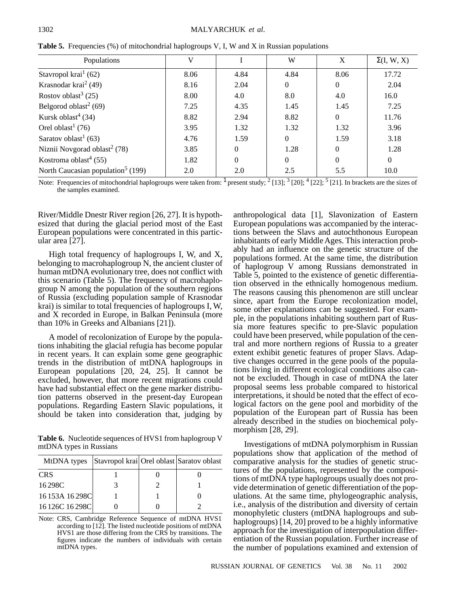| Populations                                   | V    |          | W        | X        | $\Sigma(I, W, X)$ |
|-----------------------------------------------|------|----------|----------|----------|-------------------|
| Stavropol krai $(62)$                         | 8.06 | 4.84     | 4.84     | 8.06     | 17.72             |
| Krasnodar krai $2(49)$                        | 8.16 | 2.04     | $\theta$ | $\theta$ | 2.04              |
| Rostov oblast <sup>3</sup> $(25)$             | 8.00 | 4.0      | 8.0      | 4.0      | 16.0              |
| Belgorod oblast <sup>2</sup> (69)             | 7.25 | 4.35     | 1.45     | 1.45     | 7.25              |
| Kursk oblast <sup>4</sup> (34)                | 8.82 | 2.94     | 8.82     | $\theta$ | 11.76             |
| Orel oblast <sup>1</sup> (76)                 | 3.95 | 1.32     | 1.32     | 1.32     | 3.96              |
| Saratov oblast <sup>1</sup> (63)              | 4.76 | 1.59     | $\theta$ | 1.59     | 3.18              |
| Niznii Novgorad oblast <sup>2</sup> (78)      | 3.85 | $\Omega$ | 1.28     | $\Omega$ | 1.28              |
| Kostroma oblast <sup>4</sup> (55)             | 1.82 | $\Omega$ | $\theta$ | $\Omega$ | $\theta$          |
| North Caucasian population <sup>5</sup> (199) | 2.0  | 2.0      | 2.5      | 5.5      | 10.0              |

**Table 5.** Frequencies (%) of mitochondrial haplogroups V, I, W and X in Russian populations

Note: Frequencies of mitochondrial haplogroups were taken from:  $1$  present study;  $2$  [13];  $3$  [20];  $4$  [22];  $5$  [21]. In brackets are the sizes of the samples examined.

River/Middle Dnestr River region [26, 27]. It is hypothesized that during the glacial period most of the East European populations were concentrated in this particular area [27].

High total frequency of haplogroups I, W, and X, belonging to macrohaplogroup N, the ancient cluster of human mtDNA evolutionary tree, does not conflict with this scenario (Table 5). The frequency of macrohaplogroup N among the population of the southern regions of Russia (excluding population sample of Krasnodar krai) is similar to total frequencies of haplogroups I, W, and X recorded in Europe, in Balkan Peninsula (more than 10% in Greeks and Albanians [21]).

A model of recolonization of Europe by the populations inhabiting the glacial refugia has become popular in recent years. It can explain some gene geographic trends in the distribution of mtDNA haplogroups in European populations [20, 24, 25]. It cannot be excluded, however, that more recent migrations could have had substantial effect on the gene marker distribution patterns observed in the present-day European populations. Regarding Eastern Slavic populations, it should be taken into consideration that, judging by

**Table 6.** Nucleotide sequences of HVS1 from haplogroup V mtDNA types in Russians

| MtDNA types Stavropol krai Orel oblast Saratov oblast |  |  |
|-------------------------------------------------------|--|--|
| <b>CRS</b>                                            |  |  |
| 16298C                                                |  |  |
| 16 153A 16 298C                                       |  |  |
| 16 126C 16 298C                                       |  |  |

Note: CRS, Cambridge Reference Sequence of mtDNA HVS1 according to [12]. The listed nucleotide positions of mtDNA HVS1 are those differing from the CRS by transitions. The figures indicate the numbers of individuals with certain mtDNA types.

anthropological data [1], Slavonization of Eastern European populations was accompanied by the interactions between the Slavs and autochthonous European inhabitants of early Middle Ages. This interaction probably had an influence on the genetic structure of the populations formed. At the same time, the distribution of haplogroup V among Russians demonstrated in Table 5, pointed to the existence of genetic differentiation observed in the ethnically homogenous medium. The reasons causing this phenomenon are still unclear since, apart from the Europe recolonization model, some other explanations can be suggested. For example, in the populations inhabiting southern part of Russia more features specific to pre-Slavic population could have been preserved, while population of the central and more northern regions of Russia to a greater extent exhibit genetic features of proper Slavs. Adaptive changes occurred in the gene pools of the populations living in different ecological conditions also cannot be excluded. Though in case of mtDNA the later proposal seems less probable compared to historical interpretations, it should be noted that the effect of ecological factors on the gene pool and morbidity of the population of the European part of Russia has been already described in the studies on biochemical polymorphism [28, 29].

Investigations of mtDNA polymorphism in Russian populations show that application of the method of comparative analysis for the studies of genetic structures of the populations, represented by the compositions of mtDNA type haplogroups usually does not provide determination of genetic differentiation of the populations. At the same time, phylogeographic analysis, i.e., analysis of the distribution and diversity of certain monophyletic clusters (mtDNA haplogroups and subhaplogroups) [14, 20] proved to be a highly informative approach for the investigation of interpopulation differentiation of the Russian population. Further increase of the number of populations examined and extension of